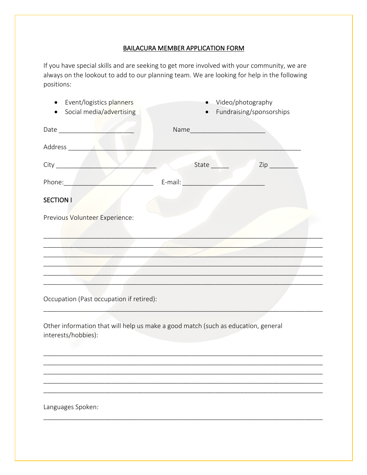## BAILACURA MEMBER APPLICATION FORM

If you have special skills and are seeking to get more involved with your community, we are always on the lookout to add to our planning team. We are looking for help in the following positions:

| Event/logistics planners<br>$\bullet$                                                                                                                                                                                                | Video/photography                               |  |
|--------------------------------------------------------------------------------------------------------------------------------------------------------------------------------------------------------------------------------------|-------------------------------------------------|--|
| Social media/advertising                                                                                                                                                                                                             | Fundraising/sponsorships                        |  |
|                                                                                                                                                                                                                                      | Name                                            |  |
|                                                                                                                                                                                                                                      |                                                 |  |
|                                                                                                                                                                                                                                      |                                                 |  |
| Phone: Phone                                                                                                                                                                                                                         |                                                 |  |
| <b>SECTION I</b>                                                                                                                                                                                                                     |                                                 |  |
| Previous Volunteer Experience:                                                                                                                                                                                                       |                                                 |  |
|                                                                                                                                                                                                                                      |                                                 |  |
| <u>A series and the series of the series of the series of the series of the series of the series of the series of the series of the series of the series of the series of the series of the series of the series of the series o</u> |                                                 |  |
|                                                                                                                                                                                                                                      | the contract of the contract of the contract of |  |
|                                                                                                                                                                                                                                      |                                                 |  |
|                                                                                                                                                                                                                                      |                                                 |  |
| Occupation (Past occupation if retired):                                                                                                                                                                                             |                                                 |  |
| Other information that will help us make a good match (such as education, general<br>interests/hobbies):                                                                                                                             |                                                 |  |
|                                                                                                                                                                                                                                      |                                                 |  |
|                                                                                                                                                                                                                                      |                                                 |  |
|                                                                                                                                                                                                                                      |                                                 |  |
| Languages Spoken:                                                                                                                                                                                                                    |                                                 |  |